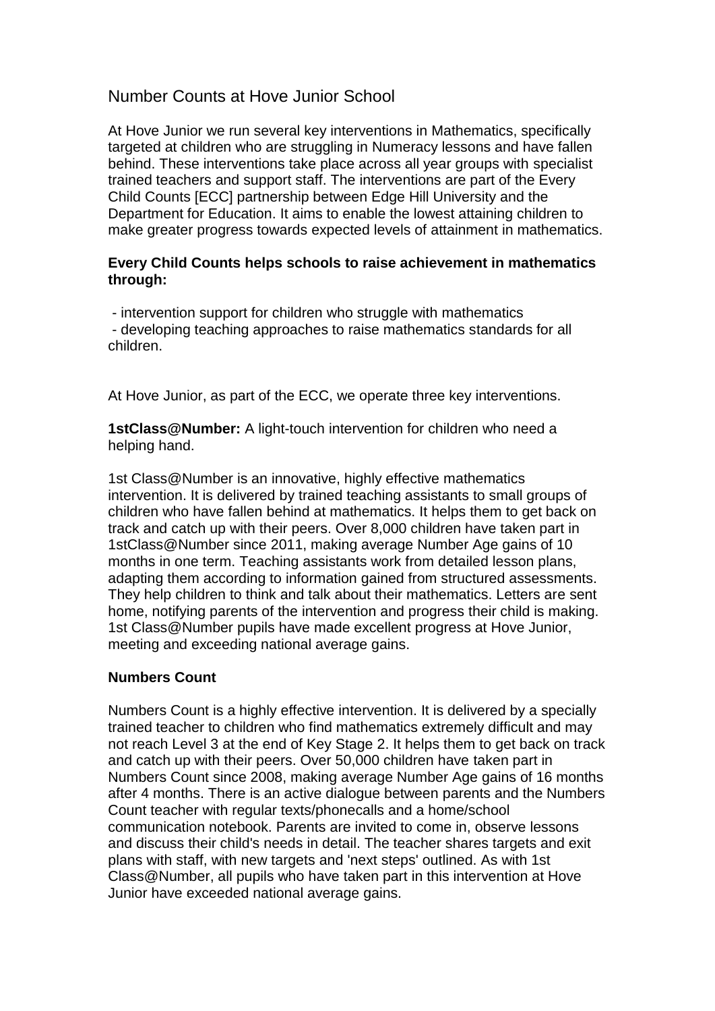## Number Counts at Hove Junior School

At Hove Junior we run several key interventions in Mathematics, specifically targeted at children who are struggling in Numeracy lessons and have fallen behind. These interventions take place across all year groups with specialist trained teachers and support staff. The interventions are part of the Every Child Counts [ECC] partnership between Edge Hill University and the Department for Education. It aims to enable the lowest attaining children to make greater progress towards expected levels of attainment in mathematics.

## **Every Child Counts helps schools to raise achievement in mathematics through:**

- intervention support for children who struggle with mathematics

- developing teaching approaches to raise mathematics standards for all children.

At Hove Junior, as part of the ECC, we operate three key interventions.

**1stClass@Number:** A light-touch intervention for children who need a helping hand.

1st Class@Number is an innovative, highly effective mathematics intervention. It is delivered by trained teaching assistants to small groups of children who have fallen behind at mathematics. It helps them to get back on track and catch up with their peers. Over 8,000 children have taken part in 1stClass@Number since 2011, making average Number Age gains of 10 months in one term. Teaching assistants work from detailed lesson plans, adapting them according to information gained from structured assessments. They help children to think and talk about their mathematics. Letters are sent home, notifying parents of the intervention and progress their child is making. 1st Class@Number pupils have made excellent progress at Hove Junior, meeting and exceeding national average gains.

## **Numbers Count**

Numbers Count is a highly effective intervention. It is delivered by a specially trained teacher to children who find mathematics extremely difficult and may not reach Level 3 at the end of Key Stage 2. It helps them to get back on track and catch up with their peers. Over 50,000 children have taken part in Numbers Count since 2008, making average Number Age gains of 16 months after 4 months. There is an active dialogue between parents and the Numbers Count teacher with regular texts/phonecalls and a home/school communication notebook. Parents are invited to come in, observe lessons and discuss their child's needs in detail. The teacher shares targets and exit plans with staff, with new targets and 'next steps' outlined. As with 1st Class@Number, all pupils who have taken part in this intervention at Hove Junior have exceeded national average gains.